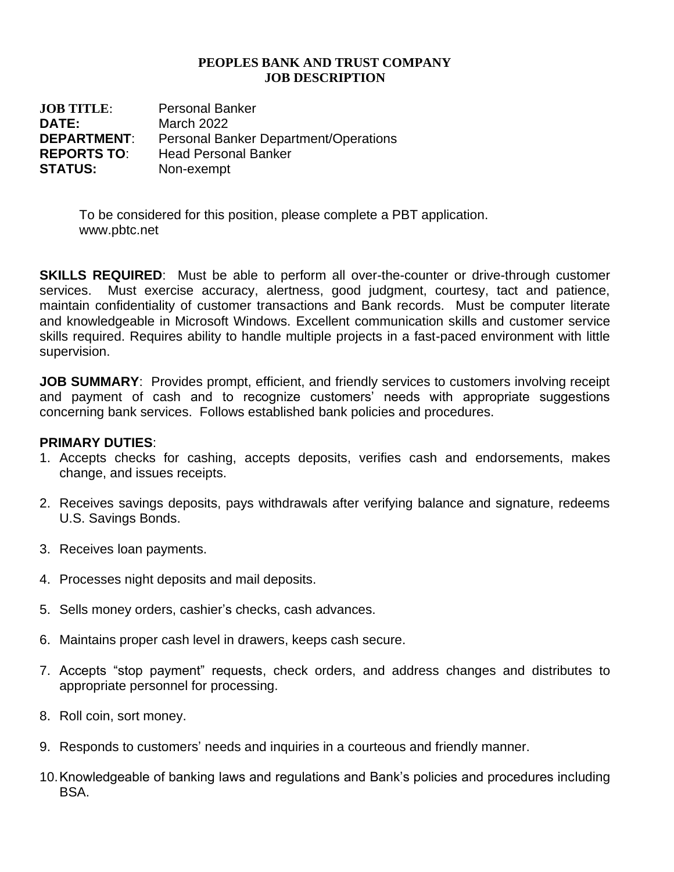## **PEOPLES BANK AND TRUST COMPANY JOB DESCRIPTION**

**JOB TITLE**: Personal Banker **DATE:** March 2022 **DEPARTMENT**: Personal Banker Department/Operations **REPORTS TO**: Head Personal Banker **STATUS:** Non-exempt

> To be considered for this position, please complete a PBT application. www.pbtc.net

**SKILLS REQUIRED**: Must be able to perform all over-the-counter or drive-through customer services. Must exercise accuracy, alertness, good judgment, courtesy, tact and patience, maintain confidentiality of customer transactions and Bank records. Must be computer literate and knowledgeable in Microsoft Windows. Excellent communication skills and customer service skills required. Requires ability to handle multiple projects in a fast-paced environment with little supervision.

**JOB SUMMARY:** Provides prompt, efficient, and friendly services to customers involving receipt and payment of cash and to recognize customers' needs with appropriate suggestions concerning bank services. Follows established bank policies and procedures.

## **PRIMARY DUTIES**:

- 1. Accepts checks for cashing, accepts deposits, verifies cash and endorsements, makes change, and issues receipts.
- 2. Receives savings deposits, pays withdrawals after verifying balance and signature, redeems U.S. Savings Bonds.
- 3. Receives loan payments.
- 4. Processes night deposits and mail deposits.
- 5. Sells money orders, cashier's checks, cash advances.
- 6. Maintains proper cash level in drawers, keeps cash secure.
- 7. Accepts "stop payment" requests, check orders, and address changes and distributes to appropriate personnel for processing.
- 8. Roll coin, sort money.
- 9. Responds to customers' needs and inquiries in a courteous and friendly manner.
- 10.Knowledgeable of banking laws and regulations and Bank's policies and procedures including BSA.